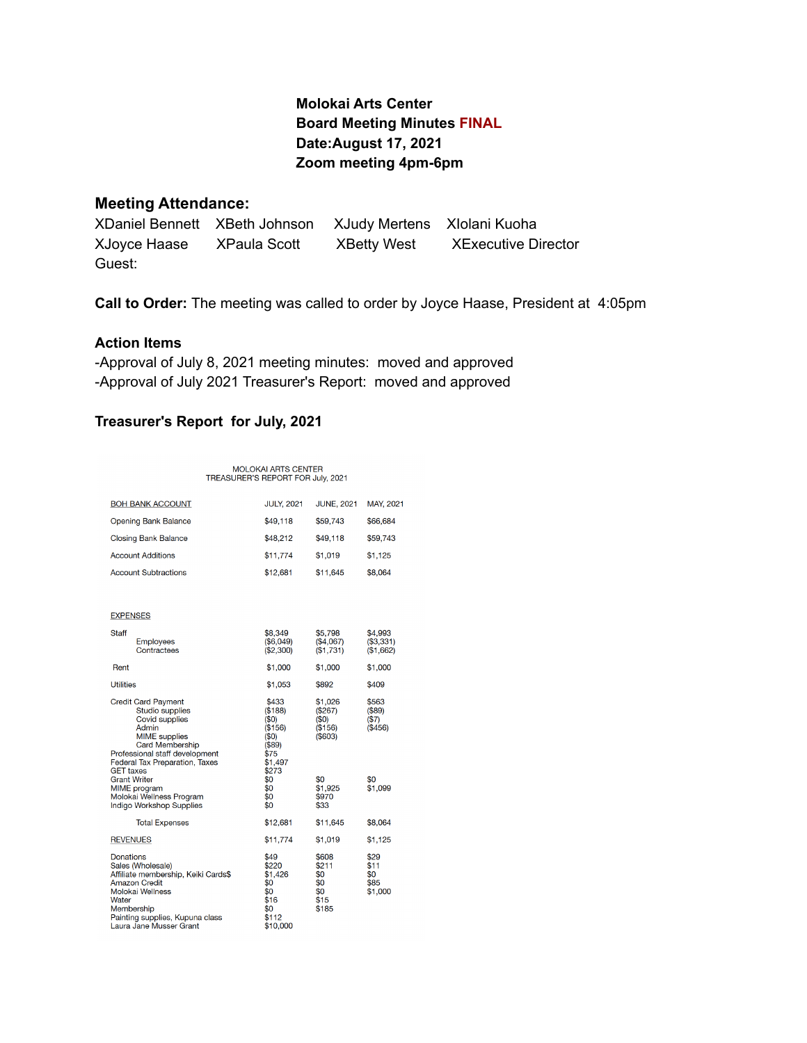# **Molokai Arts Center Board Meeting Minutes FINAL Date:August 17, 2021 Zoom meeting 4pm-6pm**

### **Meeting Attendance:**

XDaniel Bennett XBeth Johnson XJudy Mertens XIolani Kuoha XJoyce Haase XPaula Scott XBetty West XExecutive Director Guest:

**Call to Order:** The meeting was called to order by Joyce Haase, President at 4:05pm

### **Action Items**

-Approval of July 8, 2021 meeting minutes: moved and approved -Approval of July 2021 Treasurer's Report: moved and approved

## **Treasurer's Report for July, 2021**

# MOLOKAI ARTS CENTER<br>TREASURER'S REPORT FOR July, 2021

| <b>BOH BANK ACCOUNT</b>                                                                                                                                                                                                          | <b>JULY, 2021</b>                                                                 | <b>JUNE, 2021</b>                                    | MAY, 2021                              |
|----------------------------------------------------------------------------------------------------------------------------------------------------------------------------------------------------------------------------------|-----------------------------------------------------------------------------------|------------------------------------------------------|----------------------------------------|
| Opening Bank Balance                                                                                                                                                                                                             | \$49,118                                                                          | \$59,743                                             | \$66,684                               |
| <b>Closing Bank Balance</b>                                                                                                                                                                                                      | \$48,212                                                                          | \$49,118                                             | \$59,743                               |
| <b>Account Additions</b>                                                                                                                                                                                                         | \$11,774                                                                          | \$1,019                                              | \$1,125                                |
| <b>Account Subtractions</b>                                                                                                                                                                                                      | \$12,681                                                                          | \$11,645                                             | \$8,064                                |
|                                                                                                                                                                                                                                  |                                                                                   |                                                      |                                        |
| <b>EXPENSES</b>                                                                                                                                                                                                                  |                                                                                   |                                                      |                                        |
| Staff<br><b>Employees</b><br>Contractees                                                                                                                                                                                         | \$8,349<br>(\$6.049)<br>(\$2,300)                                                 | \$5,798<br>(\$4,067)<br>(\$1,731)                    | \$4,993<br>(\$3,331)<br>(\$1,662)      |
| Rent                                                                                                                                                                                                                             | \$1,000                                                                           | \$1,000                                              | \$1,000                                |
| <b>Utilities</b>                                                                                                                                                                                                                 | \$1,053                                                                           | \$892                                                | \$409                                  |
| <b>Credit Card Payment</b><br><b>Studio supplies</b><br><b>Covid supplies</b><br>Admin<br><b>MIME</b> supplies<br><b>Card Membership</b><br>Professional staff development<br>Federal Tax Preparation, Taxes<br><b>GET taxes</b> | \$433<br>(\$188)<br>(50)<br>(\$156)<br>(50)<br>(\$89)<br>\$75<br>\$1,497<br>\$273 | \$1,026<br>(\$267)<br>(\$0)<br>(\$156)<br>(\$603)    | \$563<br>(\$89)<br>(S7)<br>( \$456)    |
| <b>Grant Writer</b><br>MIME program<br>Molokai Wellness Program<br>Indigo Workshop Supplies                                                                                                                                      | \$0<br>\$0<br>\$0<br>\$0                                                          | \$0<br>\$1,925<br>\$970<br>\$33                      | \$0<br>\$1,099                         |
| <b>Total Expenses</b>                                                                                                                                                                                                            | \$12,681                                                                          | \$11,645                                             | \$8,064                                |
| <b>REVENUES</b>                                                                                                                                                                                                                  | \$11,774                                                                          | \$1,019                                              | \$1,125                                |
| Donations<br>Sales (Wholesale)<br>Affiliate membership, Keiki Cards\$<br><b>Amazon Credit</b><br>Molokai Wellness<br>Water<br>Membership<br>Painting supplies, Kupuna class<br>Laura Jane Musser Grant                           | \$49<br>\$220<br>\$1,426<br>\$0<br>\$0<br>\$16<br>\$0<br>\$112<br>\$10,000        | \$608<br>\$211<br>\$0<br>\$0<br>\$0<br>\$15<br>\$185 | \$29<br>\$11<br>\$0<br>\$85<br>\$1,000 |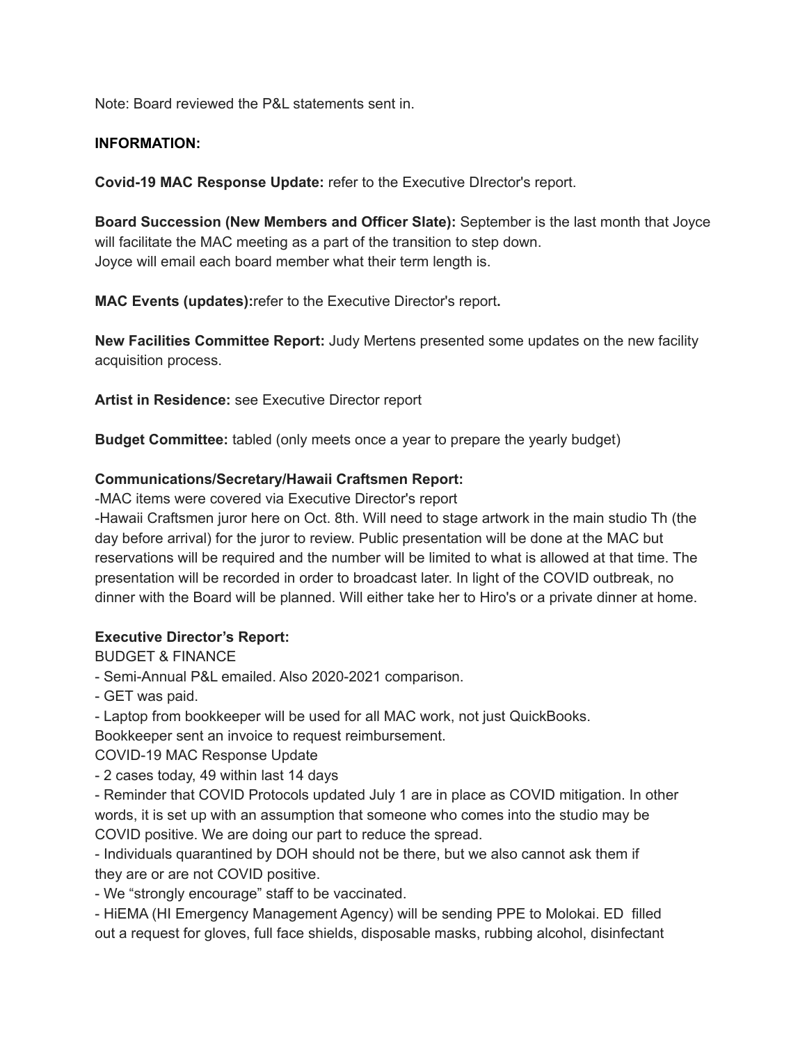Note: Board reviewed the P&L statements sent in.

### **INFORMATION:**

**Covid-19 MAC Response Update:** refer to the Executive DIrector's report.

**Board Succession (New Members and Officer Slate):** September is the last month that Joyce will facilitate the MAC meeting as a part of the transition to step down. Joyce will email each board member what their term length is.

**MAC Events (updates):**refer to the Executive Director's report**.**

**New Facilities Committee Report:** Judy Mertens presented some updates on the new facility acquisition process.

**Artist in Residence:** see Executive Director report

**Budget Committee:** tabled (only meets once a year to prepare the yearly budget)

## **Communications/Secretary/Hawaii Craftsmen Report:**

-MAC items were covered via Executive Director's report

-Hawaii Craftsmen juror here on Oct. 8th. Will need to stage artwork in the main studio Th (the day before arrival) for the juror to review. Public presentation will be done at the MAC but reservations will be required and the number will be limited to what is allowed at that time. The presentation will be recorded in order to broadcast later. In light of the COVID outbreak, no dinner with the Board will be planned. Will either take her to Hiro's or a private dinner at home.

### **Executive Director's Report:**

BUDGET & FINANCE

- Semi-Annual P&L emailed. Also 2020-2021 comparison.

- GET was paid.

- Laptop from bookkeeper will be used for all MAC work, not just QuickBooks.

Bookkeeper sent an invoice to request reimbursement.

COVID-19 MAC Response Update

- 2 cases today, 49 within last 14 days

- Reminder that COVID Protocols updated July 1 are in place as COVID mitigation. In other words, it is set up with an assumption that someone who comes into the studio may be COVID positive. We are doing our part to reduce the spread.

- Individuals quarantined by DOH should not be there, but we also cannot ask them if they are or are not COVID positive.

- We "strongly encourage" staff to be vaccinated.

- HiEMA (HI Emergency Management Agency) will be sending PPE to Molokai. ED filled out a request for gloves, full face shields, disposable masks, rubbing alcohol, disinfectant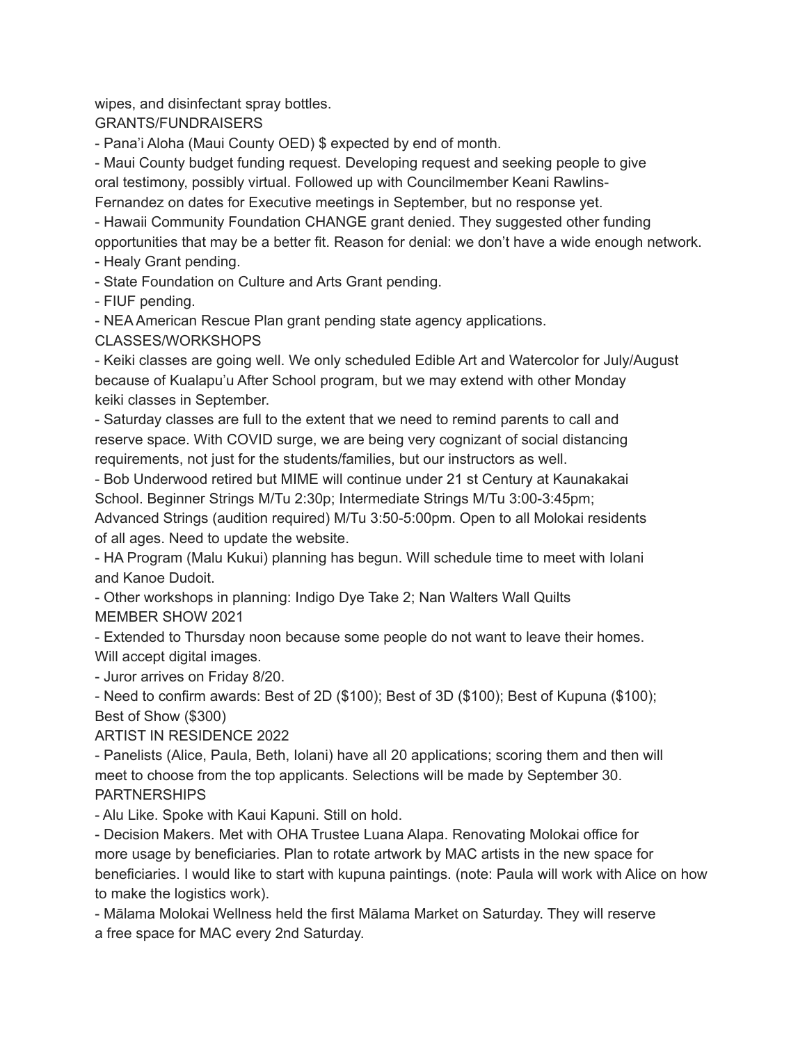wipes, and disinfectant spray bottles.

GRANTS/FUNDRAISERS

- Pana'i Aloha (Maui County OED) \$ expected by end of month.

- Maui County budget funding request. Developing request and seeking people to give oral testimony, possibly virtual. Followed up with Councilmember Keani Rawlins-Fernandez on dates for Executive meetings in September, but no response yet.

- Hawaii Community Foundation CHANGE grant denied. They suggested other funding opportunities that may be a better fit. Reason for denial: we don't have a wide enough network.

- Healy Grant pending.

- State Foundation on Culture and Arts Grant pending.

- FIUF pending.

- NEA American Rescue Plan grant pending state agency applications.

CLASSES/WORKSHOPS

- Keiki classes are going well. We only scheduled Edible Art and Watercolor for July/August because of Kualapu'u After School program, but we may extend with other Monday keiki classes in September.

- Saturday classes are full to the extent that we need to remind parents to call and reserve space. With COVID surge, we are being very cognizant of social distancing requirements, not just for the students/families, but our instructors as well.

- Bob Underwood retired but MIME will continue under 21 st Century at Kaunakakai School. Beginner Strings M/Tu 2:30p; Intermediate Strings M/Tu 3:00-3:45pm;

Advanced Strings (audition required) M/Tu 3:50-5:00pm. Open to all Molokai residents of all ages. Need to update the website.

- HA Program (Malu Kukui) planning has begun. Will schedule time to meet with Iolani and Kanoe Dudoit.

- Other workshops in planning: Indigo Dye Take 2; Nan Walters Wall Quilts MEMBER SHOW 2021

- Extended to Thursday noon because some people do not want to leave their homes. Will accept digital images.

- Juror arrives on Friday 8/20.

- Need to confirm awards: Best of 2D (\$100); Best of 3D (\$100); Best of Kupuna (\$100); Best of Show (\$300)

ARTIST IN RESIDENCE 2022

- Panelists (Alice, Paula, Beth, Iolani) have all 20 applications; scoring them and then will meet to choose from the top applicants. Selections will be made by September 30. **PARTNERSHIPS** 

- Alu Like. Spoke with Kaui Kapuni. Still on hold.

- Decision Makers. Met with OHA Trustee Luana Alapa. Renovating Molokai office for more usage by beneficiaries. Plan to rotate artwork by MAC artists in the new space for beneficiaries. I would like to start with kupuna paintings. (note: Paula will work with Alice on how to make the logistics work).

- Mālama Molokai Wellness held the first Mālama Market on Saturday. They will reserve a free space for MAC every 2nd Saturday.